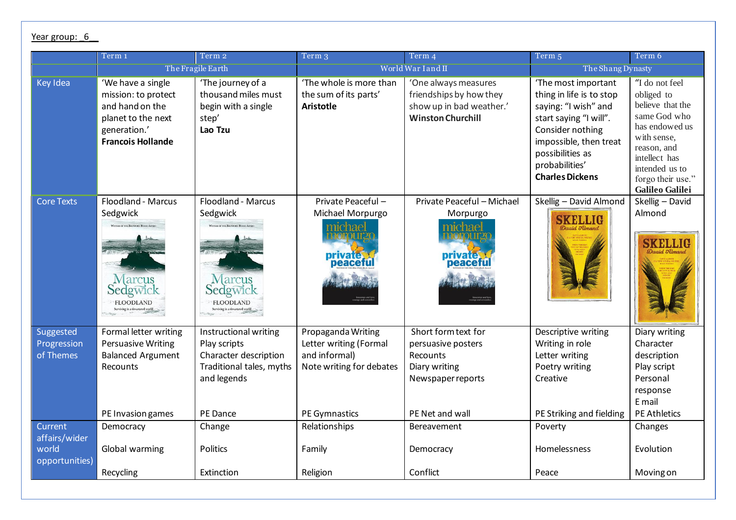|                                          | Term 1                                                                                                                        | Term 2                                                                                                                | Term 3                                                                                                     | Term 4                                                                                                                | Term 5                                                                                                                                                                                                          | Term 6                                                                                                                                                                                             |
|------------------------------------------|-------------------------------------------------------------------------------------------------------------------------------|-----------------------------------------------------------------------------------------------------------------------|------------------------------------------------------------------------------------------------------------|-----------------------------------------------------------------------------------------------------------------------|-----------------------------------------------------------------------------------------------------------------------------------------------------------------------------------------------------------------|----------------------------------------------------------------------------------------------------------------------------------------------------------------------------------------------------|
|                                          | The Fragile Earth                                                                                                             |                                                                                                                       | World War I and II                                                                                         |                                                                                                                       | The Shang Dynasty                                                                                                                                                                                               |                                                                                                                                                                                                    |
| Key Idea                                 | 'We have a single<br>mission: to protect<br>and hand on the<br>planet to the next<br>generation.'<br><b>Francois Hollande</b> | 'The journey of a<br>thousand miles must<br>begin with a single<br>step'<br>Lao Tzu                                   | 'The whole is more than<br>the sum of its parts'<br>Aristotle                                              | 'One always measures<br>friendships by how they<br>show up in bad weather.'<br><b>Winston Churchill</b>               | 'The most important<br>thing in life is to stop<br>saying: "I wish" and<br>start saying "I will".<br>Consider nothing<br>impossible, then treat<br>possibilities as<br>probabilities'<br><b>Charles Dickens</b> | "I do not feel<br>obliged to<br>believe that the<br>same God who<br>has endowed us<br>with sense,<br>reason, and<br>intellect has<br>intended us to<br>forgo their use."<br><b>Galileo Galilei</b> |
| <b>Core Texts</b>                        | Floodland - Marcus<br>Sedgwick<br>WINNIE OF THE BRANFORD BOARE AWAR<br>Marcus<br>Sedgwick<br>FLOODLAND                        | Floodland - Marcus<br>Sedgwick<br><b>WINNE OF THE BRANDED BOAR AWAR</b><br>Marcus<br>Sedgwick<br>FLOODLAND            | Private Peaceful -<br>Michael Morpurgo<br>michael<br><b>DIYOL HIYEK</b><br>private<br>peacetu              | Private Peaceful - Michael<br>Morpurgo<br>michael<br><b>OITOUT?70</b><br>private<br>peacetu                           | Skellig - David Almond<br><b>SKELLIG</b><br>David Mimone                                                                                                                                                        | Skellig - David<br>Almond                                                                                                                                                                          |
| Suggested<br>Progression<br>of Themes    | Formal letter writing<br><b>Persuasive Writing</b><br><b>Balanced Argument</b><br>Recounts<br>PE Invasion games               | Instructional writing<br>Play scripts<br>Character description<br>Traditional tales, myths<br>and legends<br>PE Dance | Propaganda Writing<br>Letter writing (Formal<br>and informal)<br>Note writing for debates<br>PE Gymnastics | Short form text for<br>persuasive posters<br><b>Recounts</b><br>Diary writing<br>Newspaper reports<br>PE Net and wall | Descriptive writing<br>Writing in role<br>Letter writing<br>Poetry writing<br>Creative                                                                                                                          | Diary writing<br>Character<br>description<br>Play script<br>Personal<br>response<br>E mail<br><b>PE Athletics</b>                                                                                  |
| Current                                  |                                                                                                                               |                                                                                                                       | Relationships                                                                                              | Bereavement                                                                                                           | PE Striking and fielding<br>Poverty                                                                                                                                                                             |                                                                                                                                                                                                    |
| affairs/wider<br>world<br>opportunities) | Democracy<br>Global warming<br>Recycling                                                                                      | Change<br>Politics<br>Extinction                                                                                      | Family<br>Religion                                                                                         | Democracy<br>Conflict                                                                                                 | Homelessness<br>Peace                                                                                                                                                                                           | Changes<br>Evolution<br>Moving on                                                                                                                                                                  |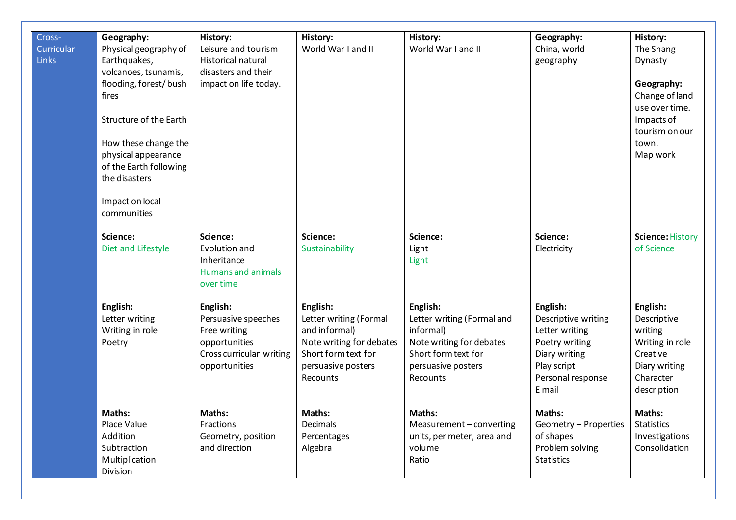| Cross-<br>Curricular<br>Links | Geography:<br>Physical geography of<br>Earthquakes,<br>volcanoes, tsunamis,<br>flooding, forest/bush<br>fires           | History:<br>Leisure and tourism<br>Historical natural<br>disasters and their<br>impact on life today.         | <b>History:</b><br>World War I and II                                                                                                    | History:<br>World War I and II                                                                                                           | Geography:<br>China, world<br>geography                                                                                            | History:<br>The Shang<br>Dynasty<br>Geography:<br>Change of land                                               |
|-------------------------------|-------------------------------------------------------------------------------------------------------------------------|---------------------------------------------------------------------------------------------------------------|------------------------------------------------------------------------------------------------------------------------------------------|------------------------------------------------------------------------------------------------------------------------------------------|------------------------------------------------------------------------------------------------------------------------------------|----------------------------------------------------------------------------------------------------------------|
|                               | <b>Structure of the Earth</b><br>How these change the<br>physical appearance<br>of the Earth following<br>the disasters |                                                                                                               |                                                                                                                                          |                                                                                                                                          |                                                                                                                                    | use over time.<br>Impacts of<br>tourism on our<br>town.<br>Map work                                            |
|                               | Impact on local<br>communities                                                                                          |                                                                                                               |                                                                                                                                          |                                                                                                                                          |                                                                                                                                    |                                                                                                                |
|                               | Science:<br>Diet and Lifestyle                                                                                          | Science:<br>Evolution and<br>Inheritance<br><b>Humans and animals</b><br>over time                            | Science:<br>Sustainability                                                                                                               | Science:<br>Light<br>Light                                                                                                               | Science:<br>Electricity                                                                                                            | <b>Science: History</b><br>of Science                                                                          |
|                               | English:<br>Letter writing<br>Writing in role<br>Poetry                                                                 | English:<br>Persuasive speeches<br>Free writing<br>opportunities<br>Cross curricular writing<br>opportunities | English:<br>Letter writing (Formal<br>and informal)<br>Note writing for debates<br>Short form text for<br>persuasive posters<br>Recounts | English:<br>Letter writing (Formal and<br>informal)<br>Note writing for debates<br>Short form text for<br>persuasive posters<br>Recounts | English:<br>Descriptive writing<br>Letter writing<br>Poetry writing<br>Diary writing<br>Play script<br>Personal response<br>E mail | English:<br>Descriptive<br>writing<br>Writing in role<br>Creative<br>Diary writing<br>Character<br>description |
|                               | Maths:<br>Place Value<br>Addition<br>Subtraction<br>Multiplication<br>Division                                          | Maths:<br>Fractions<br>Geometry, position<br>and direction                                                    | Maths:<br>Decimals<br>Percentages<br>Algebra                                                                                             | Maths:<br>Measurement - converting<br>units, perimeter, area and<br>volume<br>Ratio                                                      | Maths:<br>Geometry - Properties<br>of shapes<br>Problem solving<br><b>Statistics</b>                                               | Maths:<br><b>Statistics</b><br>Investigations<br>Consolidation                                                 |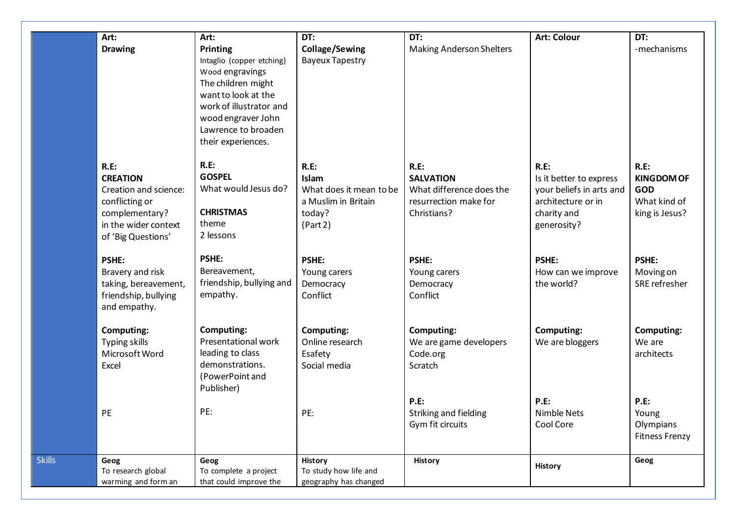|                          | Art:<br><b>Drawing</b>                                                                                                                    | Art:<br><b>Printing</b><br>Intaglio (copper etching)<br>Wood engravings<br>The children might<br>want to look at the<br>work of illustrator and<br>wood engraver John<br>Lawrence to broaden<br>their experiences. | DT:<br><b>Collage/Sewing</b><br><b>Bayeux Tapestry</b>                                | DT:<br><b>Making Anderson Shelters</b>                                                              | <b>Art: Colour</b>                                                                                                     | DT:<br>-mechanisms                                                        |
|--------------------------|-------------------------------------------------------------------------------------------------------------------------------------------|--------------------------------------------------------------------------------------------------------------------------------------------------------------------------------------------------------------------|---------------------------------------------------------------------------------------|-----------------------------------------------------------------------------------------------------|------------------------------------------------------------------------------------------------------------------------|---------------------------------------------------------------------------|
|                          | <b>R.E:</b><br><b>CREATION</b><br>Creation and science:<br>conflicting or<br>complementary?<br>in the wider context<br>of 'Big Questions' | R.E:<br><b>GOSPEL</b><br>What would Jesus do?<br><b>CHRISTMAS</b><br>theme<br>2 lessons                                                                                                                            | R.E:<br>Islam<br>What does it mean to be<br>a Muslim in Britain<br>today?<br>(Part 2) | <b>R.E:</b><br><b>SALVATION</b><br>What difference does the<br>resurrection make for<br>Christians? | <b>R.E:</b><br>Is it better to express<br>your beliefs in arts and<br>architecture or in<br>charity and<br>generosity? | R.E:<br><b>KINGDOM OF</b><br><b>GOD</b><br>What kind of<br>king is Jesus? |
|                          | <b>PSHE:</b><br>Bravery and risk<br>taking, bereavement,<br>friendship, bullying<br>and empathy.                                          | <b>PSHE:</b><br>Bereavement,<br>friendship, bullying and<br>empathy.                                                                                                                                               | <b>PSHE:</b><br>Young carers<br>Democracy<br>Conflict                                 | <b>PSHE:</b><br>Young carers<br>Democracy<br>Conflict                                               | <b>PSHE:</b><br>How can we improve<br>the world?                                                                       | <b>PSHE:</b><br>Moving on<br>SRE refresher                                |
|                          | Computing:<br><b>Typing skills</b><br>Microsoft Word<br>Excel                                                                             | Computing:<br>Presentational work<br>leading to class<br>demonstrations.<br>(PowerPoint and<br>Publisher)                                                                                                          | <b>Computing:</b><br>Online research<br>Esafety<br>Social media                       | <b>Computing:</b><br>We are game developers<br>Code.org<br>Scratch                                  | Computing:<br>We are bloggers                                                                                          | <b>Computing:</b><br>We are<br>architects                                 |
|                          | PE                                                                                                                                        | PE:                                                                                                                                                                                                                | PE:                                                                                   | P.E:<br>Striking and fielding<br>Gym fit circuits                                                   | P.E:<br><b>Nimble Nets</b><br>Cool Core                                                                                | P.E:<br>Young<br>Olympians<br><b>Fitness Frenzy</b>                       |
| $\overline{\mathsf{ll}}$ | Geog<br>To research global<br>warming and form an                                                                                         | Geog<br>To complete a project<br>that could improve the                                                                                                                                                            | History<br>To study how life and<br>geography has changed                             | <b>History</b>                                                                                      | History                                                                                                                | Geog                                                                      |

Skills **Geog**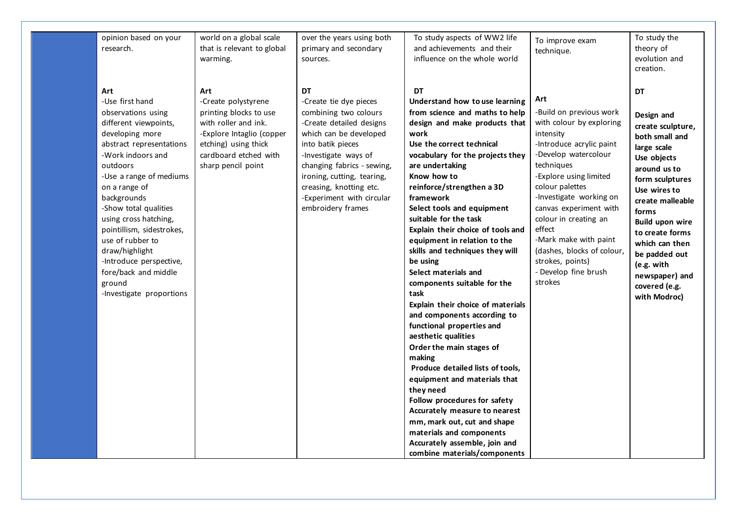| opinion based on your<br>research.                                                                                                                                                                                                                                                                                                                                                                                             | world on a global scale<br>that is relevant to global<br>warming.                                                                                                                | over the years using both<br>primary and secondary<br>sources.                                                                                                                                                                                                                                           | To study aspects of WW2 life<br>and achievements and their<br>influence on the whole world                                                                                                                                                                                                                                                                                                                                                                                                                                                                                                                                                                                                                                                                                                                                                                                                                                                                | To improve exam<br>technique.                                                                                                                                                                                                                                                                                                                                                                | To study the<br>theory of<br>evolution and<br>creation.                                                                                                                                                                                                                                                                |
|--------------------------------------------------------------------------------------------------------------------------------------------------------------------------------------------------------------------------------------------------------------------------------------------------------------------------------------------------------------------------------------------------------------------------------|----------------------------------------------------------------------------------------------------------------------------------------------------------------------------------|----------------------------------------------------------------------------------------------------------------------------------------------------------------------------------------------------------------------------------------------------------------------------------------------------------|-----------------------------------------------------------------------------------------------------------------------------------------------------------------------------------------------------------------------------------------------------------------------------------------------------------------------------------------------------------------------------------------------------------------------------------------------------------------------------------------------------------------------------------------------------------------------------------------------------------------------------------------------------------------------------------------------------------------------------------------------------------------------------------------------------------------------------------------------------------------------------------------------------------------------------------------------------------|----------------------------------------------------------------------------------------------------------------------------------------------------------------------------------------------------------------------------------------------------------------------------------------------------------------------------------------------------------------------------------------------|------------------------------------------------------------------------------------------------------------------------------------------------------------------------------------------------------------------------------------------------------------------------------------------------------------------------|
| Art<br>-Use first hand<br>observations using<br>different viewpoints,<br>developing more<br>abstract representations<br>-Work indoors and<br>outdoors<br>-Use a range of mediums<br>on a range of<br>backgrounds<br>-Show total qualities<br>using cross hatching,<br>pointillism, sidestrokes,<br>use of rubber to<br>draw/highlight<br>-Introduce perspective,<br>fore/back and middle<br>ground<br>-Investigate proportions | Art<br>-Create polystyrene<br>printing blocks to use<br>with roller and ink.<br>-Explore Intaglio (copper<br>etching) using thick<br>cardboard etched with<br>sharp pencil point | <b>DT</b><br>-Create tie dye pieces<br>combining two colours<br>-Create detailed designs<br>which can be developed<br>into batik pieces<br>-Investigate ways of<br>changing fabrics - sewing,<br>ironing, cutting, tearing,<br>creasing, knotting etc.<br>-Experiment with circular<br>embroidery frames | <b>DT</b><br>Understand how to use learning<br>from science and maths to help<br>design and make products that<br>work<br>Use the correct technical<br>vocabulary for the projects they<br>are undertaking<br>Know how to<br>reinforce/strengthen a 3D<br>framework<br>Select tools and equipment<br>suitable for the task<br>Explain their choice of tools and<br>equipment in relation to the<br>skills and techniques they will<br>be using<br>Select materials and<br>components suitable for the<br>task<br>Explain their choice of materials<br>and components according to<br>functional properties and<br>aesthetic qualities<br>Order the main stages of<br>making<br>Produce detailed lists of tools,<br>equipment and materials that<br>they need<br>Follow procedures for safety<br>Accurately measure to nearest<br>mm, mark out, cut and shape<br>materials and components<br>Accurately assemble, join and<br>combine materials/components | Art<br>-Build on previous work<br>with colour by exploring<br>intensity<br>-Introduce acrylic paint<br>-Develop watercolour<br>techniques<br>-Explore using limited<br>colour palettes<br>-Investigate working on<br>canvas experiment with<br>colour in creating an<br>effect<br>-Mark make with paint<br>(dashes, blocks of colour,<br>strokes, points)<br>- Develop fine brush<br>strokes | DT<br>Design and<br>create sculpture,<br>both small and<br>large scale<br>Use objects<br>around us to<br>form sculptures<br>Use wires to<br>create malleable<br>forms<br><b>Build upon wire</b><br>to create forms<br>which can then<br>be padded out<br>(e.g. with<br>newspaper) and<br>covered (e.g.<br>with Modroc) |